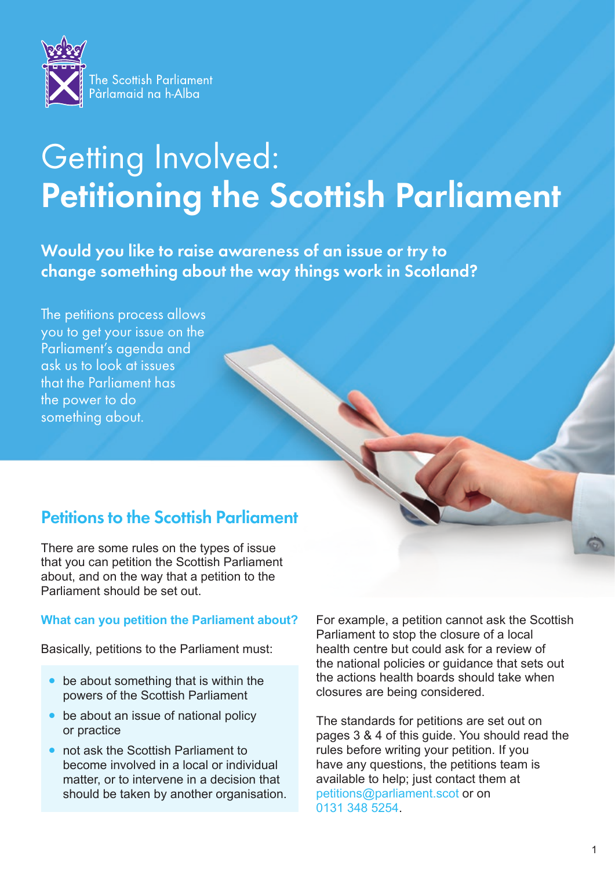

# Getting Involved: Petitioning the Scottish Parliament

Would you like to raise awareness of an issue or try to change something about the way things work in Scotland?

The petitions process allows you to get your issue on the Parliament's agenda and ask us to look at issues that the Parliament has the power to do something about.

## Petitions to the Scottish Parliament

There are some rules on the types of issue that you can petition the Scottish Parliament about, and on the way that a petition to the Parliament should be set out.

#### **What can you petition the Parliament about?**

Basically, petitions to the Parliament must:

- be about something that is within the powers of the Scottish Parliament
- be about an issue of national policy or practice
- not ask the Scottish Parliament to become involved in a local or individual matter, or to intervene in a decision that should be taken by another organisation.

For example, a petition cannot ask the Scottish Parliament to stop the closure of a local health centre but could ask for a review of the national policies or guidance that sets out the actions health boards should take when closures are being considered.

The standards for petitions are set out on pages 3 & 4 of this guide. You should read the rules before writing your petition. If you have any questions, the petitions team is available to help; just contact them at petitions@parliament.scot or on 0131 348 5254.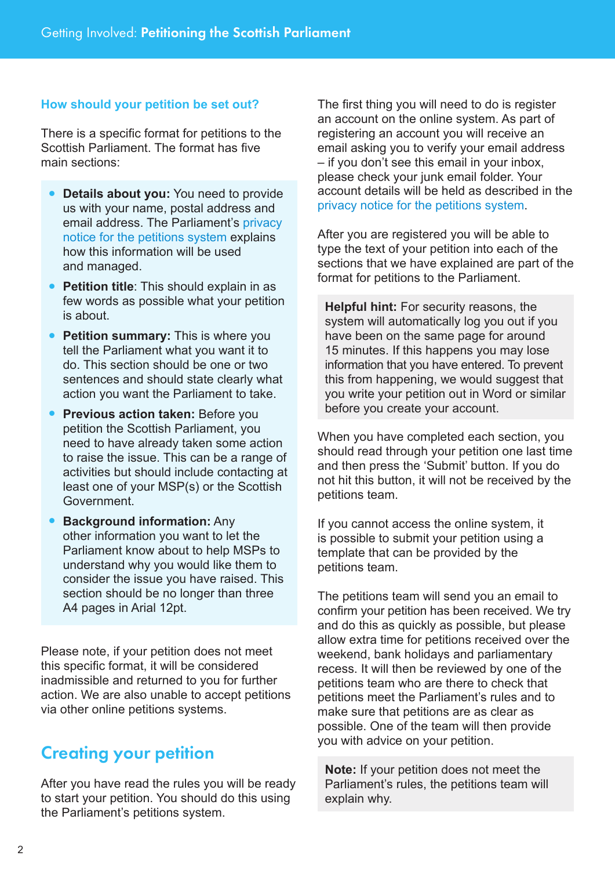### **How should your petition be set out?**

There is a specific format for petitions to the Scottish Parliament. The format has five main sections:

- **Details about you:** You need to provide us with your name, postal address and email address. The Parliament's [privacy](https://www.parliament.scot/S5_PublicPetitionsCommittee/General%20Documents/COPetitionsSubmitting.pdf)  [notice for the petitions system](https://www.parliament.scot/S5_PublicPetitionsCommittee/General%20Documents/COPetitionsSubmitting.pdf) explains how this information will be used and managed.
- **Petition title:** This should explain in as few words as possible what your petition is about.
- **Petition summary:** This is where you tell the Parliament what you want it to do. This section should be one or two sentences and should state clearly what action you want the Parliament to take.
- **Previous action taken: Before you** petition the Scottish Parliament, you need to have already taken some action to raise the issue. This can be a range of activities but should include contacting at least one of your MSP(s) or the Scottish Government.
- **Background information:** Any other information you want to let the Parliament know about to help MSPs to understand why you would like them to consider the issue you have raised. This section should be no longer than three A4 pages in Arial 12pt.

Please note, if your petition does not meet this specific format, it will be considered inadmissible and returned to you for further action. We are also unable to accept petitions via other online petitions systems.

## Creating your petition

After you have read the rules you will be ready to start your petition. You should do this using the Parliament's petitions system.

The first thing you will need to do is register an account on the online system. As part of registering an account you will receive an email asking you to verify your email address – if you don't see this email in your inbox, please check your junk email folder. Your account details will be held as described in the [privacy notice for the petitions system.](https://www.parliament.scot/S5_PublicPetitionsCommittee/General%20Documents/COPetitionsSubmitting.pdf)

After you are registered you will be able to type the text of your petition into each of the sections that we have explained are part of the format for petitions to the Parliament.

**Helpful hint:** For security reasons, the system will automatically log you out if you have been on the same page for around 15 minutes. If this happens you may lose information that you have entered. To prevent this from happening, we would suggest that you write your petition out in Word or similar before you create your account.

When you have completed each section, you should read through your petition one last time and then press the 'Submit' button. If you do not hit this button, it will not be received by the petitions team.

If you cannot access the online system, it is possible to submit your petition using a template that can be provided by the petitions team.

The petitions team will send you an email to confirm your petition has been received. We try and do this as quickly as possible, but please allow extra time for petitions received over the weekend, bank holidays and parliamentary recess. It will then be reviewed by one of the petitions team who are there to check that petitions meet the Parliament's rules and to make sure that petitions are as clear as possible. One of the team will then provide you with advice on your petition.

**Note:** If your petition does not meet the Parliament's rules, the petitions team will explain why.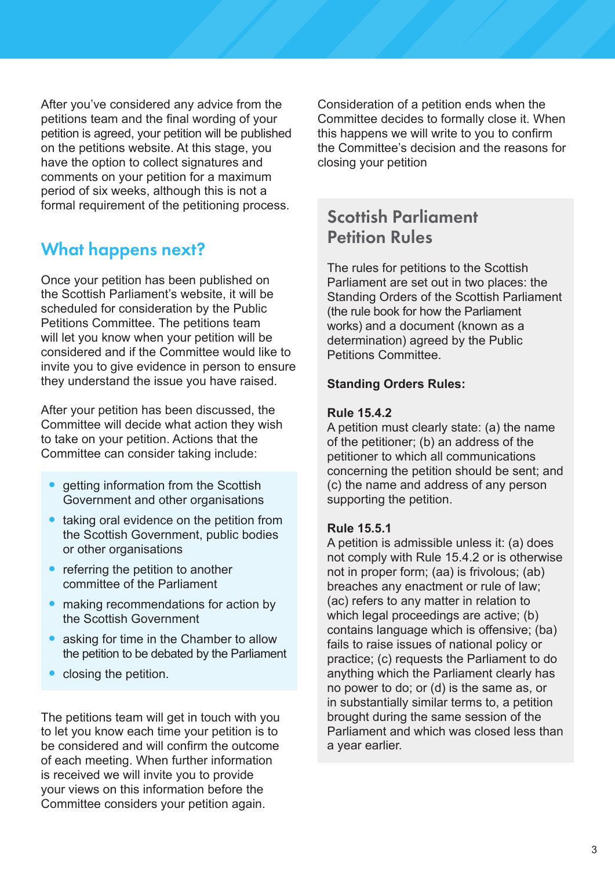After you've considered any advice from the petitions team and the final wording of your petition is agreed, your petition will be published on the petitions website. At this stage, you have the option to collect signatures and comments on your petition for a maximum period of six weeks, although this is not a formal requirement of the petitioning process.

## What happens next?

Once your petition has been published on the Scottish Parliament's website, it will be scheduled for consideration by the Public Petitions Committee. The petitions team will let you know when your petition will be considered and if the Committee would like to invite you to give evidence in person to ensure they understand the issue you have raised.

After your petition has been discussed, the Committee will decide what action they wish to take on your petition. Actions that the Committee can consider taking include:

- getting information from the Scottish Government and other organisations
- taking oral evidence on the petition from the Scottish Government, public bodies or other organisations
- referring the petition to another committee of the Parliament
- making recommendations for action by the Scottish Government
- asking for time in the Chamber to allow the petition to be debated by the Parliament
- closing the petition.

The petitions team will get in touch with you to let you know each time your petition is to be considered and will confirm the outcome of each meeting. When further information is received we will invite you to provide your views on this information before the Committee considers your petition again.

Consideration of a petition ends when the Committee decides to formally close it. When this happens we will write to you to confirm the Committee's decision and the reasons for closing your petition

## Scottish Parliament Petition Rules

The rules for petitions to the Scottish Parliament are set out in two places: the Standing Orders of the Scottish Parliament (the rule book for how the Parliament works) and a document (known as a determination) agreed by the Public Petitions Committee.

### **Standing Orders Rules:**

#### **Rule 15.4.2**

A petition must clearly state: (a) the name of the petitioner; (b) an address of the petitioner to which all communications concerning the petition should be sent; and (c) the name and address of any person supporting the petition.

#### **Rule 15.5.1**

A petition is admissible unless it: (a) does not comply with Rule 15.4.2 or is otherwise not in proper form; (aa) is frivolous; (ab) breaches any enactment or rule of law; (ac) refers to any matter in relation to which legal proceedings are active; (b) contains language which is offensive; (ba) fails to raise issues of national policy or practice; (c) requests the Parliament to do anything which the Parliament clearly has no power to do; or (d) is the same as, or in substantially similar terms to, a petition brought during the same session of the Parliament and which was closed less than a year earlier.